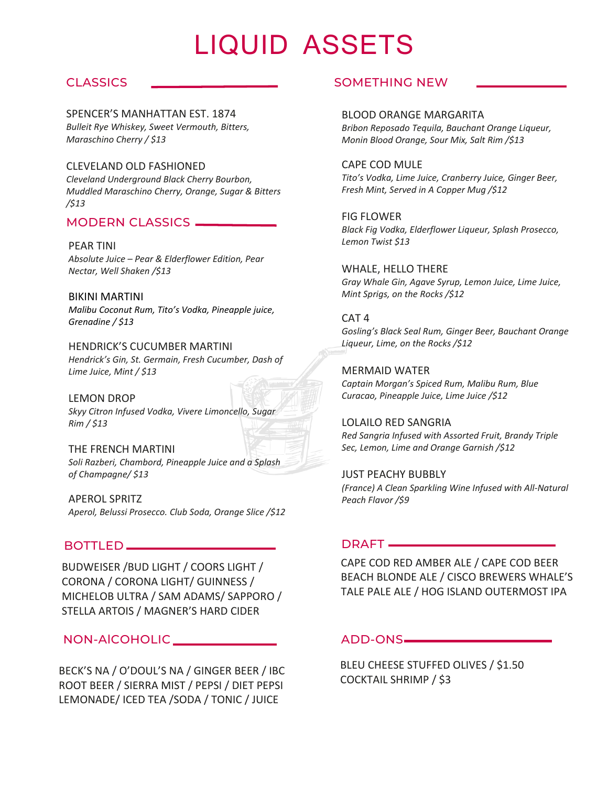# LIQUID ASSETS

## **CLASSICS**

SPENCER'S MANHATTAN EST. 1874 *Bulleit Rye Whiskey, Sweet Vermouth, Bitters, Maraschino Cherry / \$13*

#### CLEVELAND OLD FASHIONED

*Cleveland Underground Black Cherry Bourbon, Muddled Maraschino Cherry, Orange, Sugar & Bitters /\$13*

#### MODERN CLASSICS

PEAR TINI *Absolute Juice – Pear & Elderflower Edition, Pear Nectar, Well Shaken /\$13*

BIKINI MARTINI *Malibu Coconut Rum, Tito's Vodka, Pineapple juice, Grenadine / \$13*

HENDRICK'S CUCUMBER MARTINI *Hendrick's Gin, St. Germain, Fresh Cucumber, Dash of Lime Juice, Mint / \$13*

LEMON DROP *Skyy Citron Infused Vodka, Vivere Limoncello, Sugar Rim / \$13*

THE FRENCH MARTINI *Soli Razberi, Chambord, Pineapple Juice and a Splash of Champagne/ \$13*

APEROL SPRITZ *Aperol, Belussi Prosecco. Club Soda, Orange Slice /\$12*

## BOTTLED

BUDWEISER /BUD LIGHT / COORS LIGHT / CORONA / CORONA LIGHT/ GUINNESS / MICHELOB ULTRA / SAM ADAMS/ SAPPORO / STELLA ARTOIS / MAGNER'S HARD CIDER

## NON-AlCOHOLIC

BECK'S NA / O'DOUL'S NA / GINGER BEER / IBC ROOT BEER / SIERRA MIST / PEPSI / DIET PEPSI LEMONADE/ ICED TEA /SODA / TONIC / JUICE

### SOMETHING NEW

#### BLOOD ORANGE MARGARITA

*Bribon Reposado Tequila, Bauchant Orange Liqueur, Monin Blood Orange, Sour Mix, Salt Rim /\$13*

#### CAPE COD MULE

*Tito's Vodka, Lime Juice, Cranberry Juice, Ginger Beer, Fresh Mint, Served in A Copper Mug /\$12*

FIG FLOWER *Black Fig Vodka, Elderflower Liqueur, Splash Prosecco, Lemon Twist \$13*

WHALE, HELLO THERE *Gray Whale Gin, Agave Syrup, Lemon Juice, Lime Juice, Mint Sprigs, on the Rocks /\$12*

#### CAT 4

*Gosling's Black Seal Rum, Ginger Beer, Bauchant Orange Liqueur, Lime, on the Rocks /\$12*

MERMAID WATER

*Captain Morgan's Spiced Rum, Malibu Rum, Blue Curacao, Pineapple Juice, Lime Juice /\$12*

LOLAILO RED SANGRIA *Red Sangria Infused with Assorted Fruit, Brandy Triple Sec, Lemon, Lime and Orange Garnish /\$12*

JUST PEACHY BUBBLY *(France) A Clean Sparkling Wine Infused with All-Natural Peach Flavor /\$9*

#### DRAFT —

CAPE COD RED AMBER ALE / CAPE COD BEER BEACH BLONDE ALE / CISCO BREWERS WHALE'S TALE PALE ALE / HOG ISLAND OUTERMOST IPA

#### ADD-ONS

BLEU CHEESE STUFFED OLIVES / \$1.50 COCKTAIL SHRIMP / \$3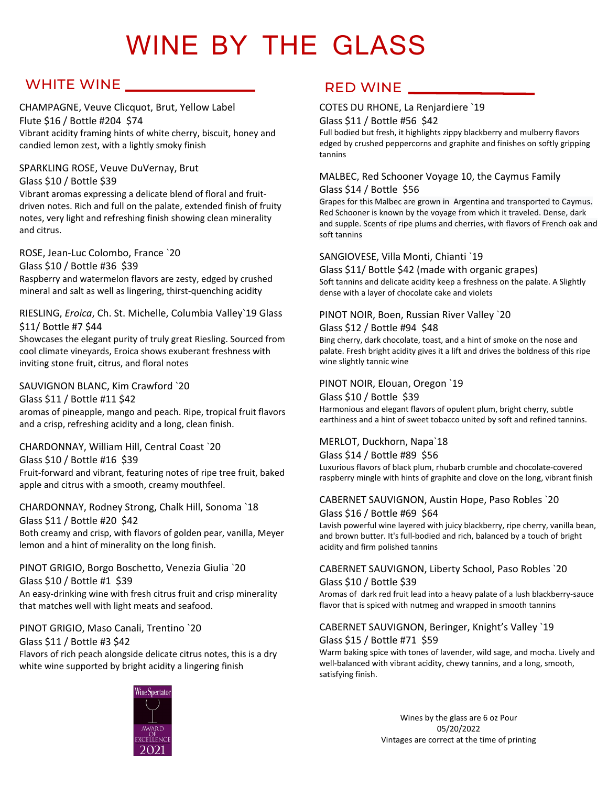# WINE BY THE GLASS

## WHITE WINE

#### CHAMPAGNE, Veuve Clicquot, Brut, Yellow Label Flute \$16 / Bottle #204 \$74 Vibrant acidity framing hints of white cherry, biscuit, honey and candied lemon zest, with a lightly smoky finish

#### SPARKLING ROSE, Veuve DuVernay, Brut Glass \$10 / Bottle \$39

Vibrant aromas expressing a delicate blend of floral and fruitdriven notes. Rich and full on the palate, extended finish of fruity notes, very light and refreshing finish showing clean minerality and citrus.

ROSE, Jean-Luc Colombo, France `20 Glass \$10 / Bottle #36 \$39 Raspberry and watermelon flavors are zesty, edged by crushed mineral and salt as well as lingering, thirst-quenching acidity

#### RIESLING, *Eroica*, Ch. St. Michelle, Columbia Valley`19 Glass \$11/ Bottle #7 \$44

Showcases the elegant purity of truly great Riesling. Sourced from cool climate vineyards, Eroica shows exuberant freshness with inviting stone fruit, citrus, and floral notes

#### SAUVIGNON BLANC, Kim Crawford `20

Glass \$11 / Bottle #11 \$42 aromas of pineapple, mango and peach. Ripe, tropical fruit flavors and a crisp, refreshing acidity and a long, clean finish.

#### CHARDONNAY, William Hill, Central Coast `20

Glass \$10 / Bottle #16 \$39

Fruit-forward and vibrant, featuring notes of ripe tree fruit, baked apple and citrus with a smooth, creamy mouthfeel.

#### CHARDONNAY, Rodney Strong, Chalk Hill, Sonoma `18 Glass \$11 / Bottle #20 \$42

Both creamy and crisp, with flavors of golden pear, vanilla, Meyer lemon and a hint of minerality on the long finish.

#### PINOT GRIGIO, Borgo Boschetto, Venezia Giulia `20 Glass \$10 / Bottle #1 \$39

An easy-drinking wine with fresh citrus fruit and crisp minerality that matches well with light meats and seafood.

PINOT GRIGIO, Maso Canali, Trentino `20 Glass \$11 / Bottle #3 \$42 Flavors of rich peach alongside delicate citrus notes, this is a dry white wine supported by bright acidity a lingering finish

## RED WINE

## COTES DU RHONE, La Renjardiere `19

#### Glass \$11 / Bottle #56 \$42

Full bodied but fresh, it highlights zippy blackberry and mulberry flavors edged by crushed peppercorns and graphite and finishes on softly gripping tannins

## MALBEC, Red Schooner Voyage 10, the Caymus Family

Glass \$14 / Bottle \$56

Grapes for this Malbec are grown in Argentina and transported to Caymus. Red Schooner is known by the voyage from which it traveled. Dense, dark and supple. Scents of ripe plums and cherries, with flavors of French oak and soft tannins

#### SANGIOVESE, Villa Monti, Chianti `19

Glass \$11/ Bottle \$42 (made with organic grapes) Soft tannins and delicate acidity keep a freshness on the palate. A Slightly dense with a layer of chocolate cake and violets

## PINOT NOIR, Boen, Russian River Valley `20

#### Glass \$12 / Bottle #94 \$48

Bing cherry, dark chocolate, toast, and a hint of smoke on the nose and palate. Fresh bright acidity gives it a lift and drives the boldness of this ripe wine slightly tannic wine

#### PINOT NOIR, Elouan, Oregon `19

Glass \$10 / Bottle \$39 Harmonious and elegant flavors of opulent plum, bright cherry, subtle earthiness and a hint of sweet tobacco united by soft and refined tannins.

#### MERLOT, Duckhorn, Napa`18

Glass \$14 / Bottle #89 \$56

Luxurious flavors of black plum, rhubarb crumble and chocolate-covered raspberry mingle with hints of graphite and clove on the long, vibrant finish

#### CABERNET SAUVIGNON, Austin Hope, Paso Robles `20 Glass \$16 / Bottle #69 \$64

Lavish powerful wine layered with juicy blackberry, ripe cherry, vanilla bean, and brown butter. It's full-bodied and rich, balanced by a touch of bright acidity and firm polished tannins

#### CABERNET SAUVIGNON, Liberty School, Paso Robles `20 Glass \$10 / Bottle \$39

Aromas of dark red fruit lead into a heavy palate of a lush blackberry-sauce flavor that is spiced with nutmeg and wrapped in smooth tannins

#### CABERNET SAUVIGNON, Beringer, Knight's Valley `19 Glass \$15 / Bottle #71 \$59

Warm baking spice with tones of lavender, wild sage, and mocha. Lively and well-balanced with vibrant acidity, chewy tannins, and a long, smooth, satisfying finish.



Wines by the glass are 6 oz Pour 05/20/2022 Vintages are correct at the time of printing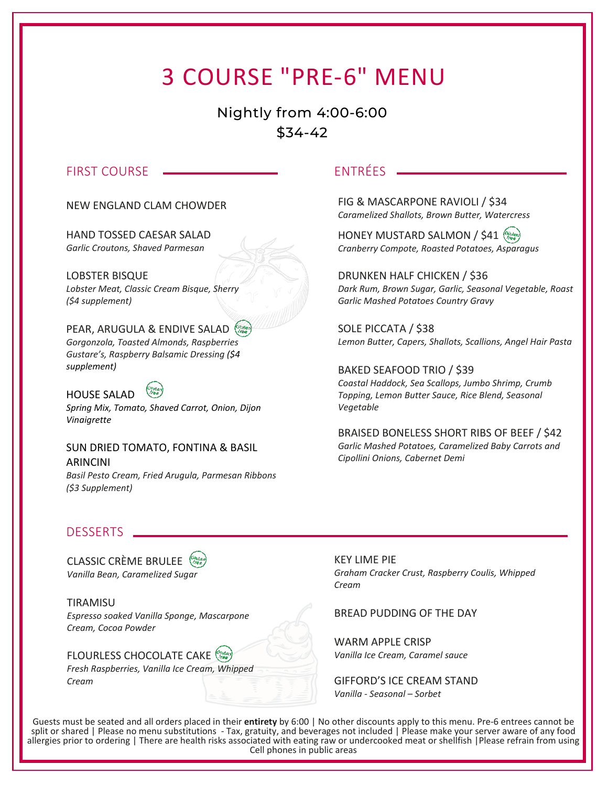## 3 COURSE "PRE-6" MENU

Nightly from 4:00-6:00 \$34-42

#### FIRST COURSE

NEW ENGLAND CLAM CHOWDER

HAND TOSSED CAESAR SALAD *Garlic Croutons, Shaved Parmesan*

LOBSTER BISQUE *Lobster Meat, Classic Cream Bisque, Sherry (\$4 supplement)*

### PEAR, ARUGULA & ENDIVE SALAD

*Gorgonzola, Toasted Almonds, Raspberries Gustare's, Raspberry Balsamic Dressing (\$4 supplement)*

HOUSE SALAD *Spring Mix, Tomato, Shaved Carrot, Onion, Dijon Vinaigrette*

SUN DRIED TOMATO, FONTINA & BASIL ARINCINI *Basil Pesto Cream, Fried Arugula, Parmesan Ribbons (\$3 Supplement)*

## ENTRÉES

FIG & MASCARPONE RAVIOLI / \$34 *Caramelized Shallots, Brown Butter, Watercress*

HONEY MUSTARD SALMON / \$41 *Cranberry Compote, Roasted Potatoes, Asparagus*

DRUNKEN HALF CHICKEN / \$36 *Dark Rum, Brown Sugar, Garlic, Seasonal Vegetable, Roast Garlic Mashed Potatoes Country Gravy*

SOLE PICCATA / \$38 *Lemon Butter, Capers, Shallots, Scallions, Angel Hair Pasta*

BAKED SEAFOOD TRIO / \$39 *Coastal Haddock, Sea Scallops, Jumbo Shrimp, Crumb Topping, Lemon Butter Sauce, Rice Blend, Seasonal Vegetable* 

BRAISED BONELESS SHORT RIBS OF BEEF / \$42 *Garlic Mashed Potatoes, Caramelized Baby Carrots and Cipollini Onions, Cabernet Demi* 

#### DESSERTS

CLASSIC CRÈME BRULEE (Stuter) *Vanilla Bean, Caramelized Sugar* 

**TIRAMISU** *Espresso soaked Vanilla Sponge, Mascarpone Cream, Cocoa Powder*

#### FLOURLESS CHOCOLATE CAKE

*Fresh Raspberries, Vanilla Ice Cream, Whipped Cream*

KEY LIME PIE *Graham Cracker Crust, Raspberry Coulis, Whipped Cream*

#### BREAD PUDDING OF THE DAY

WARM APPLE CRISP *Vanilla Ice Cream, Caramel sauce*

GIFFORD'S ICE CREAM STAND *Vanilla - Seasonal – Sorbet*

 Cell phones in public areasGuests must be seated and all orders placed in their **entirety** by 6:00 | No other discounts apply to this menu. Pre-6 entrees cannot be split or shared | Please no menu substitutions - Tax, gratuity, and beverages not included | Please make your server aware of any food allergies prior to ordering | There are health risks associated with eating raw or undercooked meat or shellfish |Please refrain from using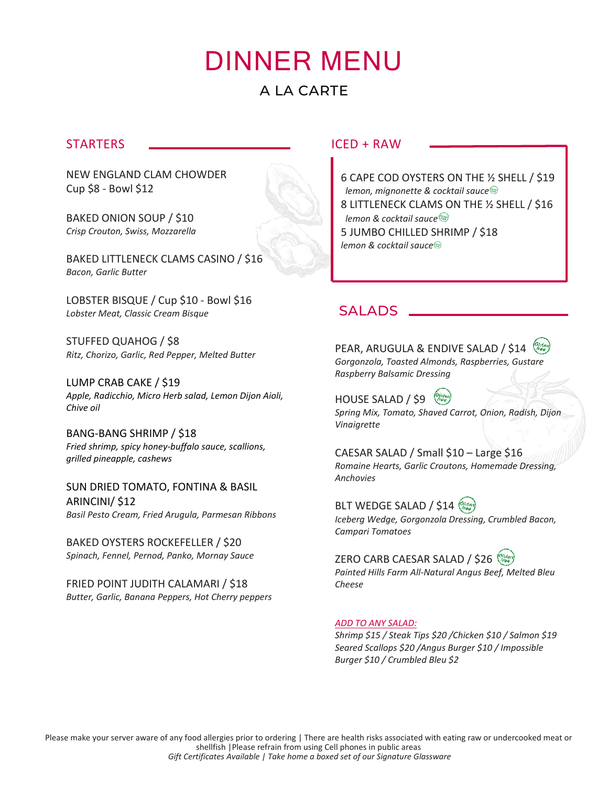## DINNER MENU A LA CARTE

## **STARTERS**

NEW ENGLAND CLAM CHOWDER Cup \$8 - Bowl \$12

BAKED ONION SOUP / \$10 *Crisp Crouton, Swiss, Mozzarella*

BAKED LITTLENECK CLAMS CASINO / \$16 *Bacon, Garlic Butter*

LOBSTER BISQUE / Cup \$10 - Bowl \$16 *Lobster Meat, Classic Cream Bisque*

STUFFED QUAHOG / \$8 *Ritz, Chorizo, Garlic, Red Pepper, Melted Butter*

LUMP CRAB CAKE / \$19 *Apple, Radicchio, Micro Herb salad, Lemon Dijon Aioli, Chive oil*

BANG-BANG SHRIMP / \$18 *Fried shrimp, spicy honey-buffalo sauce, scallions, grilled pineapple, cashews*

SUN DRIED TOMATO, FONTINA & BASIL ARINCINI/ \$12 *Basil Pesto Cream, Fried Arugula, Parmesan Ribbons*

BAKED OYSTERS ROCKEFELLER / \$20 *Spinach, Fennel, Pernod, Panko, Mornay Sauce*

FRIED POINT JUDITH CALAMARI / \$18 *Butter, Garlic, Banana Peppers, Hot Cherry peppers*

## $ICFD + RAW$

6 CAPE COD OYSTERS ON THE ½ SHELL / \$19  *lemon, mignonette & cocktail sauce* 8 LITTLENECK CLAMS ON THE ½ SHELL / \$16  *lemon & cocktail sauce* 5 JUMBO CHILLED SHRIMP / \$18 *lemon & cocktail sauce*

## **SALADS**

PEAR, ARUGULA & ENDIVE SALAD / \$14 *Gorgonzola, Toasted Almonds, Raspberries, Gustare Raspberry Balsamic Dressing* 

HOUSE SALAD / \$9 *Spring Mix, Tomato, Shaved Carrot, Onion, Radish, Dijon Vinaigrette*

CAESAR SALAD / Small \$10 – Large \$16 *Romaine Hearts, Garlic Croutons, Homemade Dressing, Anchovies*

BLT WEDGE SALAD / \$14 *Iceberg Wedge, Gorgonzola Dressing, Crumbled Bacon, Campari Tomatoes*

ZERO CARB CAESAR SALAD / \$26 *Painted Hills Farm All-Natural Angus Beef, Melted Bleu Cheese*

#### *ADD TO ANY SALAD:*

*Shrimp \$15 / Steak Tips \$20 /Chicken \$10 / Salmon \$19 Seared Scallops \$20 /Angus Burger \$10 / Impossible Burger \$10 / Crumbled Bleu \$2*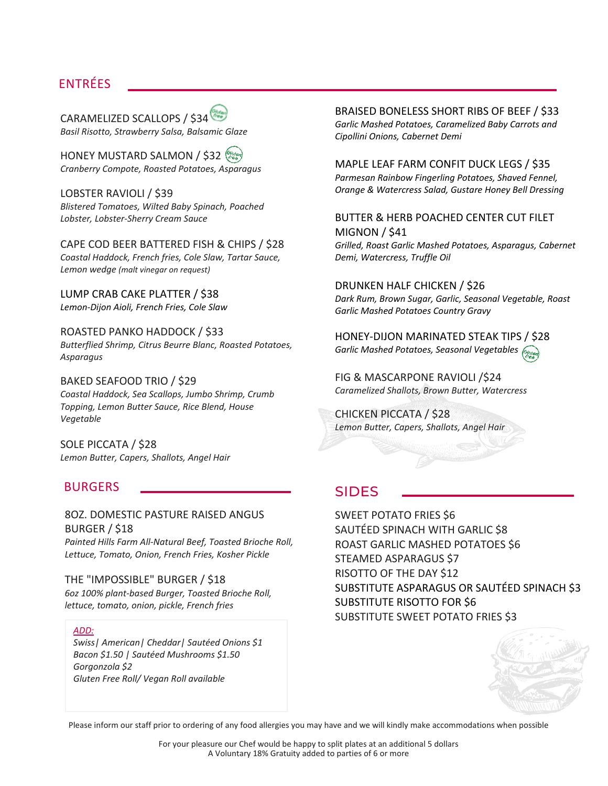## ENTRÉES

CARAMELIZED SCALLOPS / \$34 *Basil Risotto, Strawberry Salsa, Balsamic Glaze*

HONEY MUSTARD SALMON / \$32 *Cranberry Compote, Roasted Potatoes, Asparagus*

LOBSTER RAVIOLI / \$39 *Blistered Tomatoes, Wilted Baby Spinach, Poached Lobster, Lobster-Sherry Cream Sauce*

CAPE COD BEER BATTERED FISH & CHIPS / \$28 *Coastal Haddock, French fries, Cole Slaw, Tartar Sauce, Lemon wedge (malt vinegar on request)*

LUMP CRAB CAKE PLATTER / \$38 *Lemon-Dijon Aioli, French Fries, Cole Slaw* 

#### ROASTED PANKO HADDOCK / \$33

*Butterflied Shrimp, Citrus Beurre Blanc, Roasted Potatoes, Asparagus*

BAKED SEAFOOD TRIO / \$29

*Coastal Haddock, Sea Scallops, Jumbo Shrimp, Crumb Topping, Lemon Butter Sauce, Rice Blend, House Vegetable*

SOLE PICCATA / \$28 *Lemon Butter, Capers, Shallots, Angel Hair*

#### BURGERS

#### 8OZ. DOMESTIC PASTURE RAISED ANGUS BURGER / \$18

*Painted Hills Farm All-Natural Beef, Toasted Brioche Roll, Lettuce, Tomato, Onion, French Fries, Kosher Pickle*

#### THE "IMPOSSIBLE" BURGER / \$18

*6oz 100% plant-based Burger, Toasted Brioche Roll, lettuce, tomato, onion, pickle, French fries*

#### *ADD:*

*Swiss| American| Cheddar| Sautéed Onions \$1 Bacon \$1.50 | Sautéed Mushrooms \$1.50 Gorgonzola \$2 Gluten Free Roll/ Vegan Roll available*

BRAISED BONELESS SHORT RIBS OF BEEF / \$33 *Garlic Mashed Potatoes, Caramelized Baby Carrots and Cipollini Onions, Cabernet Demi*

#### MAPLE LEAF FARM CONFIT DUCK LEGS / \$35 *Parmesan Rainbow Fingerling Potatoes, Shaved Fennel,*

*Orange & Watercress Salad, Gustare Honey Bell Dressing* 

#### BUTTER & HERB POACHED CENTER CUT FILET MIGNON / \$41

*Grilled, Roast Garlic Mashed Potatoes, Asparagus, Cabernet Demi, Watercress, Truffle Oil*

DRUNKEN HALF CHICKEN / \$26 *Dark Rum, Brown Sugar, Garlic, Seasonal Vegetable, Roast Garlic Mashed Potatoes Country Gravy*

HONEY-DIJON MARINATED STEAK TIPS / \$28 *Garlic Mashed Potatoes, Seasonal Vegetables*

FIG & MASCARPONE RAVIOLI /\$24 *Caramelized Shallots, Brown Butter, Watercress*

CHICKEN PICCATA / \$28 *Lemon Butter, Capers, Shallots, Angel Hair*

## SIDES

SWEET POTATO FRIES \$6 SAUTÉED SPINACH WITH GARLIC \$8 ROAST GARLIC MASHED POTATOES \$6 STEAMED ASPARAGUS \$7 RISOTTO OF THE DAY \$12 SUBSTITUTE ASPARAGUS OR SAUTÉED SPINACH \$3 SUBSTITUTE RISOTTO FOR \$6 SUBSTITUTE SWEET POTATO FRIES \$3



Please inform our staff prior to ordering of any food allergies you may have and we will kindly make accommodations when possible

For your pleasure our Chef would be happy to split plates at an additional 5 dollars A Voluntary 18% Gratuity added to parties of 6 or more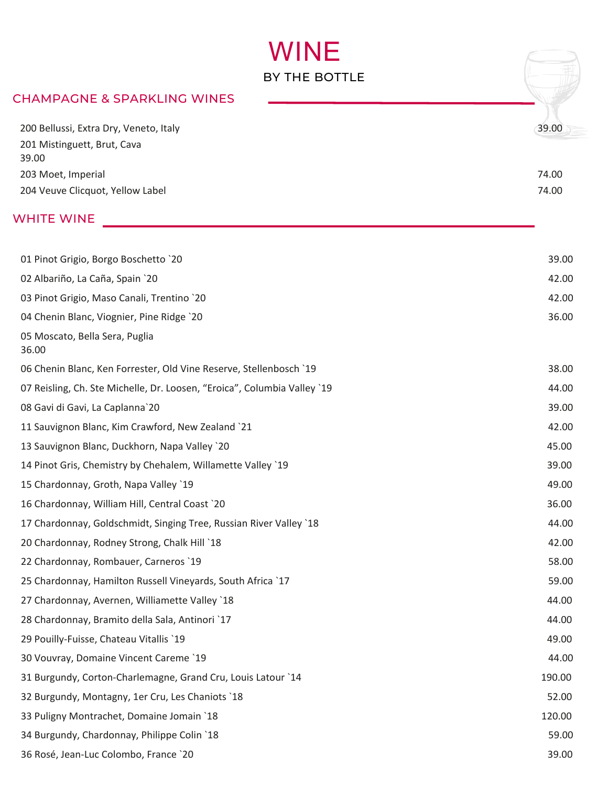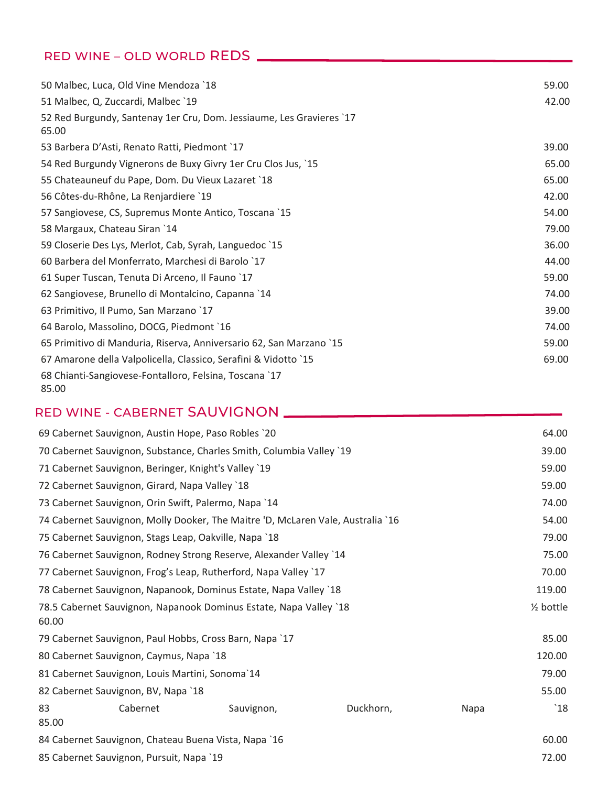## RED WINE – OLD WORLD REDS

| 50 Malbec, Luca, Old Vine Mendoza `18                                         | 59.00 |
|-------------------------------------------------------------------------------|-------|
| 51 Malbec, Q, Zuccardi, Malbec `19                                            | 42.00 |
| 52 Red Burgundy, Santenay 1er Cru, Dom. Jessiaume, Les Gravieres `17<br>65.00 |       |
| 53 Barbera D'Asti, Renato Ratti, Piedmont `17                                 | 39.00 |
| 54 Red Burgundy Vignerons de Buxy Givry 1er Cru Clos Jus, `15                 | 65.00 |
| 55 Chateauneuf du Pape, Dom. Du Vieux Lazaret `18                             | 65.00 |
| 56 Côtes-du-Rhône, La Renjardiere `19                                         | 42.00 |
| 57 Sangiovese, CS, Supremus Monte Antico, Toscana `15                         | 54.00 |
| 58 Margaux, Chateau Siran `14                                                 | 79.00 |
| 59 Closerie Des Lys, Merlot, Cab, Syrah, Languedoc `15                        | 36.00 |
| 60 Barbera del Monferrato, Marchesi di Barolo `17                             | 44.00 |
| 61 Super Tuscan, Tenuta Di Arceno, Il Fauno `17                               | 59.00 |
| 62 Sangiovese, Brunello di Montalcino, Capanna `14                            | 74.00 |
| 63 Primitivo, Il Pumo, San Marzano `17                                        | 39.00 |
| 64 Barolo, Massolino, DOCG, Piedmont `16                                      | 74.00 |
| 65 Primitivo di Manduria, Riserva, Anniversario 62, San Marzano `15           | 59.00 |
| 67 Amarone della Valpolicella, Classico, Serafini & Vidotto `15               | 69.00 |
| 68 Chianti-Sangiovese-Fontalloro, Felsina, Toscana `17<br>85.00               |       |

## RED WINE - CABERNET SAUVIGNON

| 69 Cabernet Sauvignon, Austin Hope, Paso Robles `20                             |           | 64.00                     |
|---------------------------------------------------------------------------------|-----------|---------------------------|
| 70 Cabernet Sauvignon, Substance, Charles Smith, Columbia Valley `19            |           | 39.00                     |
| 71 Cabernet Sauvignon, Beringer, Knight's Valley `19                            |           | 59.00                     |
| 72 Cabernet Sauvignon, Girard, Napa Valley `18                                  |           | 59.00                     |
| 73 Cabernet Sauvignon, Orin Swift, Palermo, Napa `14                            |           | 74.00                     |
| 74 Cabernet Sauvignon, Molly Dooker, The Maitre 'D, McLaren Vale, Australia '16 |           | 54.00                     |
| 75 Cabernet Sauvignon, Stags Leap, Oakville, Napa `18                           |           | 79.00                     |
| 76 Cabernet Sauvignon, Rodney Strong Reserve, Alexander Valley `14              |           | 75.00                     |
| 77 Cabernet Sauvignon, Frog's Leap, Rutherford, Napa Valley `17                 |           | 70.00                     |
| 78 Cabernet Sauvignon, Napanook, Dominus Estate, Napa Valley `18                |           | 119.00                    |
| 78.5 Cabernet Sauvignon, Napanook Dominus Estate, Napa Valley `18<br>60.00      |           | $\frac{1}{2}$ bottle      |
| 79 Cabernet Sauvignon, Paul Hobbs, Cross Barn, Napa `17                         |           | 85.00                     |
| 80 Cabernet Sauvignon, Caymus, Napa `18                                         |           | 120.00                    |
| 81 Cabernet Sauvignon, Louis Martini, Sonoma'14                                 |           | 79.00                     |
| 82 Cabernet Sauvignon, BV, Napa `18                                             |           | 55.00                     |
| Cabernet<br>83<br>Sauvignon,<br>85.00                                           | Duckhorn, | $^{\backprime}18$<br>Napa |
| 84 Cabernet Sauvignon, Chateau Buena Vista, Napa `16                            |           | 60.00                     |
| 85 Cabernet Sauvignon, Pursuit, Napa `19                                        |           | 72.00                     |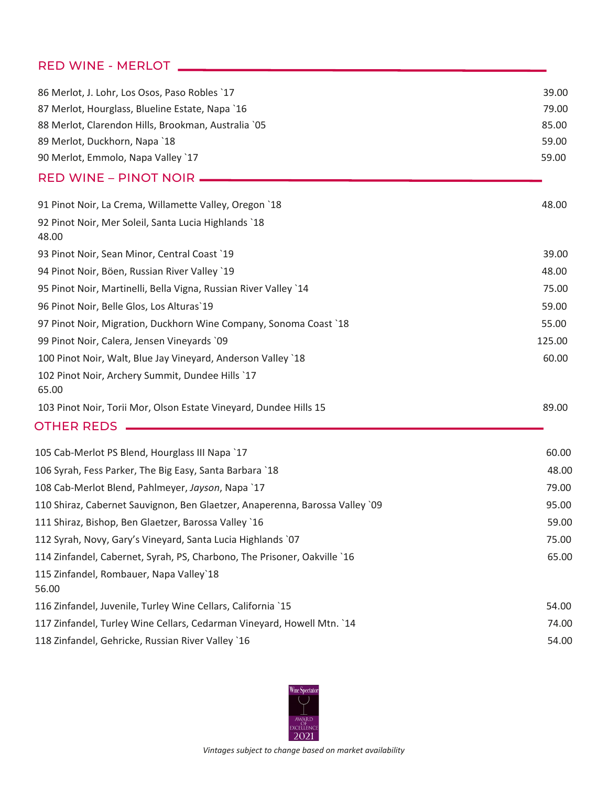## RED WINE - MERLOT

| 86 Merlot, J. Lohr, Los Osos, Paso Robles `17                                | 39.00  |
|------------------------------------------------------------------------------|--------|
| 87 Merlot, Hourglass, Blueline Estate, Napa `16                              | 79.00  |
| 88 Merlot, Clarendon Hills, Brookman, Australia `05                          | 85.00  |
| 89 Merlot, Duckhorn, Napa `18                                                | 59.00  |
| 90 Merlot, Emmolo, Napa Valley `17                                           | 59.00  |
| <b>RED WINE - PINOT NOIR</b>                                                 |        |
| 91 Pinot Noir, La Crema, Willamette Valley, Oregon `18                       | 48.00  |
| 92 Pinot Noir, Mer Soleil, Santa Lucia Highlands `18<br>48.00                |        |
| 93 Pinot Noir, Sean Minor, Central Coast `19                                 | 39.00  |
| 94 Pinot Noir, Böen, Russian River Valley `19                                | 48.00  |
| 95 Pinot Noir, Martinelli, Bella Vigna, Russian River Valley `14             | 75.00  |
| 96 Pinot Noir, Belle Glos, Los Alturas'19                                    | 59.00  |
| 97 Pinot Noir, Migration, Duckhorn Wine Company, Sonoma Coast `18            | 55.00  |
| 99 Pinot Noir, Calera, Jensen Vineyards `09                                  | 125.00 |
| 100 Pinot Noir, Walt, Blue Jay Vineyard, Anderson Valley `18                 | 60.00  |
| 102 Pinot Noir, Archery Summit, Dundee Hills `17<br>65.00                    |        |
| 103 Pinot Noir, Torii Mor, Olson Estate Vineyard, Dundee Hills 15            | 89.00  |
| <b>OTHER REDS</b>                                                            |        |
| 105 Cab-Merlot PS Blend, Hourglass III Napa `17                              | 60.00  |
| 106 Syrah, Fess Parker, The Big Easy, Santa Barbara `18                      | 48.00  |
| 108 Cab-Merlot Blend, Pahlmeyer, Jayson, Napa `17                            | 79.00  |
| 110 Shiraz, Cabernet Sauvignon, Ben Glaetzer, Anaperenna, Barossa Valley `09 | 95.00  |
| 111 Shiraz, Bishop, Ben Glaetzer, Barossa Valley `16                         | 59.00  |
| 112 Syrah, Novy, Gary's Vineyard, Santa Lucia Highlands `07                  | 75.00  |
| 114 Zinfandel, Cabernet, Syrah, PS, Charbono, The Prisoner, Oakville `16     | 65.00  |
| 115 Zinfandel, Rombauer, Napa Valley'18<br>56.00                             |        |
| 116 Zinfandel, Juvenile, Turley Wine Cellars, California `15                 | 54.00  |
| 117 Zinfandel, Turley Wine Cellars, Cedarman Vineyard, Howell Mtn. `14       | 74.00  |
| 118 Zinfandel, Gehricke, Russian River Valley `16                            | 54.00  |
|                                                                              |        |